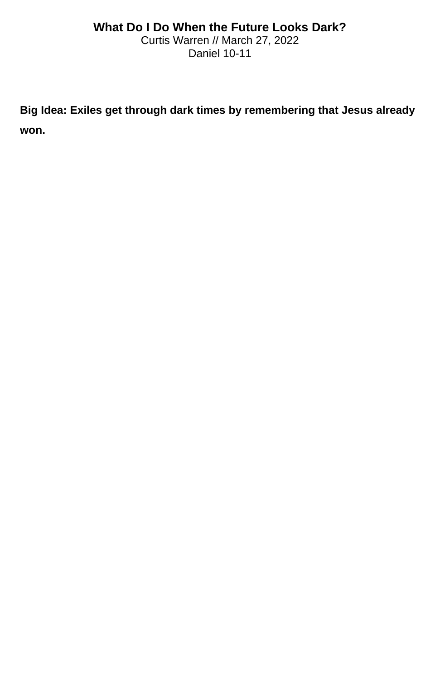## **What Do I Do When the Future Looks Dark?**

Curtis Warren // March 27, 2022 Daniel 10-11

**Big Idea: Exiles get through dark times by remembering that Jesus already won.**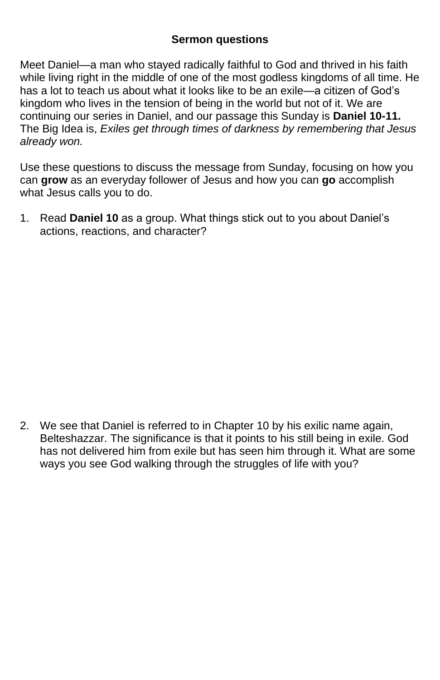## **Sermon questions**

Meet Daniel—a man who stayed radically faithful to God and thrived in his faith while living right in the middle of one of the most godless kingdoms of all time. He has a lot to teach us about what it looks like to be an exile—a citizen of God's kingdom who lives in the tension of being in the world but not of it. We are continuing our series in Daniel, and our passage this Sunday is **Daniel 10-11.**  The Big Idea is, *Exiles get through times of darkness by remembering that Jesus already won.*

Use these questions to discuss the message from Sunday, focusing on how you can **grow** as an everyday follower of Jesus and how you can **go** accomplish what Jesus calls you to do.

1. Read **Daniel 10** as a group. What things stick out to you about Daniel's actions, reactions, and character?

2. We see that Daniel is referred to in Chapter 10 by his exilic name again, Belteshazzar. The significance is that it points to his still being in exile. God has not delivered him from exile but has seen him through it. What are some ways you see God walking through the struggles of life with you?